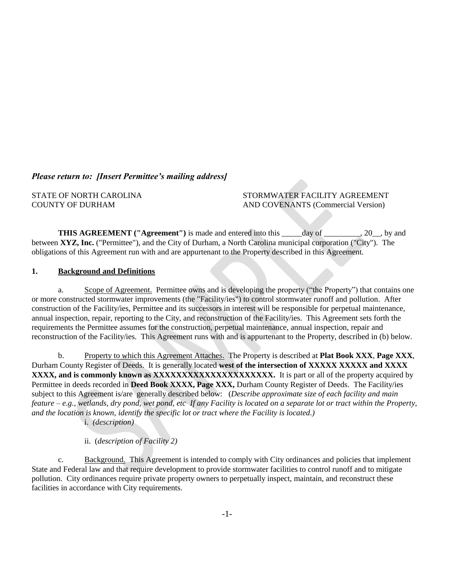## *Please return to: [Insert Permittee's mailing address]*

STATE OF NORTH CAROLINA STORMWATER FACILITY AGREEMENT COUNTY OF DURHAM AND COVENANTS (Commercial Version)

**THIS AGREEMENT** ("Agreement") is made and entered into this day of 30, by and between **XYZ, Inc.** ("Permittee"), and the City of Durham, a North Carolina municipal corporation ("City"). The obligations of this Agreement run with and are appurtenant to the Property described in this Agreement.

#### **1. Background and Definitions**

a. Scope of Agreement. Permittee owns and is developing the property ("the Property") that contains one or more constructed stormwater improvements (the "Facility/ies") to control stormwater runoff and pollution. After construction of the Facility/ies, Permittee and its successors in interest will be responsible for perpetual maintenance, annual inspection, repair, reporting to the City, and reconstruction of the Facility/ies. This Agreement sets forth the requirements the Permittee assumes for the construction, perpetual maintenance, annual inspection, repair and reconstruction of the Facility/ies. This Agreement runs with and is appurtenant to the Property, described in (b) below.

b. Property to which this Agreement Attaches. The Property is described at **Plat Book XXX**, **Page XXX**, Durham County Register of Deeds. It is generally located **west of the intersection of XXXXX XXXXX and XXXX XXXX, and is commonly known as XXXXXXXXXXXXXXXXXXXXXXXXXXX.** It is part or all of the property acquired by Permittee in deeds recorded in **Deed Book XXXX, Page XXX,** Durham County Register of Deeds.The Facility/ies subject to this Agreement is/are generally described below: (*Describe approximate size of each facility and main feature – e.g., wetlands, dry pond, wet pond, etc If any Facility is located on a separate lot or tract within the Property, and the location is known, identify the specific lot or tract where the Facility is located.)*

i. *(description)*

### ii. (*description of Facility 2)*

c. Background. This Agreement is intended to comply with City ordinances and policies that implement State and Federal law and that require development to provide stormwater facilities to control runoff and to mitigate pollution. City ordinances require private property owners to perpetually inspect, maintain, and reconstruct these facilities in accordance with City requirements.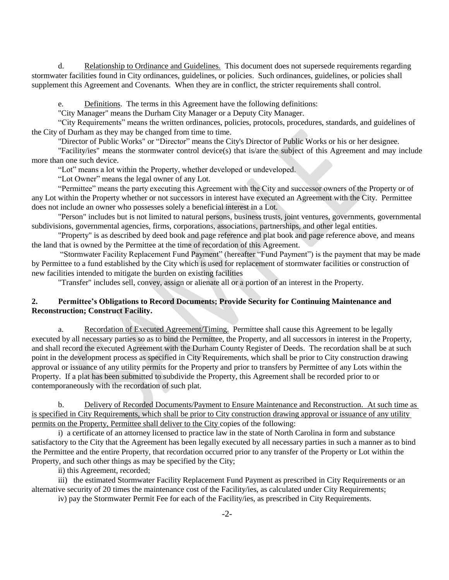d. Relationship to Ordinance and Guidelines. This document does not supersede requirements regarding stormwater facilities found in City ordinances, guidelines, or policies. Such ordinances, guidelines, or policies shall supplement this Agreement and Covenants. When they are in conflict, the stricter requirements shall control.

e. Definitions. The terms in this Agreement have the following definitions:

"City Manager" means the Durham City Manager or a Deputy City Manager.

"City Requirements" means the written ordinances, policies, protocols, procedures, standards, and guidelines of the City of Durham as they may be changed from time to time.

"Director of Public Works" or "Director" means the City's Director of Public Works or his or her designee.

"Facility/ies" means the stormwater control device(s) that is/are the subject of this Agreement and may include more than one such device.

"Lot" means a lot within the Property, whether developed or undeveloped.

"Lot Owner" means the legal owner of any Lot.

"Permittee" means the party executing this Agreement with the City and successor owners of the Property or of any Lot within the Property whether or not successors in interest have executed an Agreement with the City. Permittee does not include an owner who possesses solely a beneficial interest in a Lot.

"Person" includes but is not limited to natural persons, business trusts, joint ventures, governments, governmental subdivisions, governmental agencies, firms, corporations, associations, partnerships, and other legal entities.

"Property" is as described by deed book and page reference and plat book and page reference above, and means the land that is owned by the Permittee at the time of recordation of this Agreement.

"Stormwater Facility Replacement Fund Payment" (hereafter "Fund Payment") is the payment that may be made by Permittee to a fund established by the City which is used for replacement of stormwater facilities or construction of new facilities intended to mitigate the burden on existing facilities

"Transfer" includes sell, convey, assign or alienate all or a portion of an interest in the Property.

### **2. Permittee's Obligations to Record Documents; Provide Security for Continuing Maintenance and Reconstruction; Construct Facility.**

a. Recordation of Executed Agreement/Timing. Permittee shall cause this Agreement to be legally executed by all necessary parties so as to bind the Permittee, the Property, and all successors in interest in the Property, and shall record the executed Agreement with the Durham County Register of Deeds. The recordation shall be at such point in the development process as specified in City Requirements, which shall be prior to City construction drawing approval or issuance of any utility permits for the Property and prior to transfers by Permittee of any Lots within the Property. If a plat has been submitted to subdivide the Property, this Agreement shall be recorded prior to or contemporaneously with the recordation of such plat.

b. Delivery of Recorded Documents/Payment to Ensure Maintenance and Reconstruction. At such time as is specified in City Requirements, which shall be prior to City construction drawing approval or issuance of any utility permits on the Property, Permittee shall deliver to the City copies of the following:

i) a certificate of an attorney licensed to practice law in the state of North Carolina in form and substance satisfactory to the City that the Agreement has been legally executed by all necessary parties in such a manner as to bind the Permittee and the entire Property, that recordation occurred prior to any transfer of the Property or Lot within the Property, and such other things as may be specified by the City;

ii) this Agreement, recorded;

iii) the estimated Stormwater Facility Replacement Fund Payment as prescribed in City Requirements or an alternative security of 20 times the maintenance cost of the Facility/ies, as calculated under City Requirements;

iv) pay the Stormwater Permit Fee for each of the Facility/ies, as prescribed in City Requirements.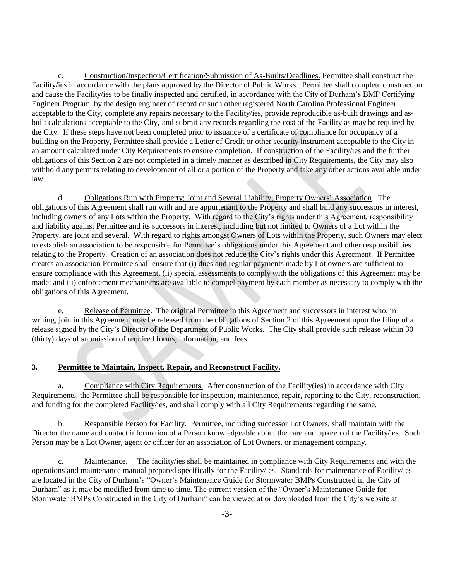c. Construction/Inspection/Certification/Submission of As-Builts/Deadlines. Permittee shall construct the Facility/ies in accordance with the plans approved by the Director of Public Works. Permittee shall complete construction and cause the Facility/ies to be finally inspected and certified, in accordance with the City of Durham's BMP Certifying Engineer Program, by the design engineer of record or such other registered North Carolina Professional Engineer acceptable to the City, complete any repairs necessary to the Facility/ies, provide reproducible as-built drawings and asbuilt calculations acceptable to the City,-and submit any records regarding the cost of the Facility as may be required by the City. If these steps have not been completed prior to issuance of a certificate of compliance for occupancy of a building on the Property, Permittee shall provide a Letter of Credit or other security instrument acceptable to the City in an amount calculated under City Requirements to ensure completion. If construction of the Facility/ies and the further obligations of this Section 2 are not completed in a timely manner as described in City Requirements, the City may also withhold any permits relating to development of all or a portion of the Property and take any other actions available under law.

d. Obligations Run with Property; Joint and Several Liability; Property Owners' Association. The obligations of this Agreement shall run with and are appurtenant to the Property and shall bind any successors in interest, including owners of any Lots within the Property. With regard to the City's rights under this Agreement, responsibility and liability against Permittee and its successors in interest, including but not limited to Owners of a Lot within the Property, are joint and several. With regard to rights amongst Owners of Lots within the Property, such Owners may elect to establish an association to be responsible for Permittee's obligations under this Agreement and other responsibilities relating to the Property. Creation of an association does not reduce the City's rights under this Agreement. If Permittee creates an association Permittee shall ensure that (i) dues and regular payments made by Lot owners are sufficient to ensure compliance with this Agreement, (ii) special assessments to comply with the obligations of this Agreement may be made; and iii) enforcement mechanisms are available to compel payment by each member as necessary to comply with the obligations of this Agreement.

e. Release of Permittee. The original Permittee in this Agreement and successors in interest who, in writing, join in this Agreement may be released from the obligations of Section 2 of this Agreement upon the filing of a release signed by the City's Director of the Department of Public Works. The City shall provide such release within 30 (thirty) days of submission of required forms, information, and fees.

### **3. Permittee to Maintain, Inspect, Repair, and Reconstruct Facility.**

a. Compliance with City Requirements. After construction of the Facility(ies) in accordance with City Requirements, the Permittee shall be responsible for inspection, maintenance, repair, reporting to the City, reconstruction, and funding for the completed Facility/ies, and shall comply with all City Requirements regarding the same.

b. Responsible Person for Facility. Permittee, including successor Lot Owners, shall maintain with the Director the name and contact information of a Person knowledgeable about the care and upkeep of the Facility/ies. Such Person may be a Lot Owner, agent or officer for an association of Lot Owners, or management company.

c. Maintenance. The facility/ies shall be maintained in compliance with City Requirements and with the operations and maintenance manual prepared specifically for the Facility/ies. Standards for maintenance of Facility/ies are located in the City of Durham's "Owner's Maintenance Guide for Stormwater BMPs Constructed in the City of Durham" as it may be modified from time to time. The current version of the "Owner's Maintenance Guide for Stormwater BMPs Constructed in the City of Durham" can be viewed at or downloaded from the City's website at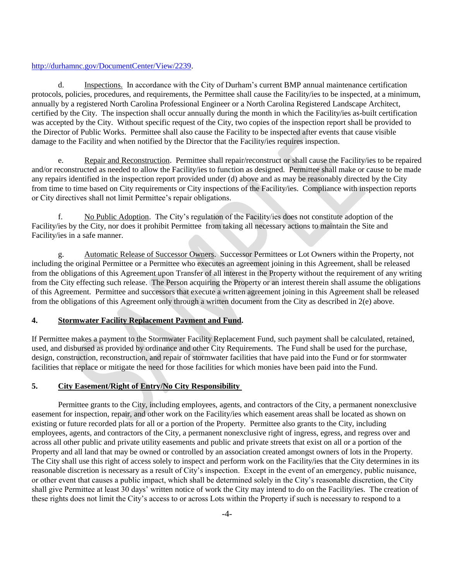#### [http://durhamnc.gov/DocumentCenter/View/2239.](http://durhamnc.gov/DocumentCenter/View/2239)

d. Inspections. In accordance with the City of Durham's current BMP annual maintenance certification protocols, policies, procedures, and requirements, the Permittee shall cause the Facility/ies to be inspected, at a minimum, annually by a registered North Carolina Professional Engineer or a North Carolina Registered Landscape Architect, certified by the City. The inspection shall occur annually during the month in which the Facility/ies as-built certification was accepted by the City. Without specific request of the City, two copies of the inspection report shall be provided to the Director of Public Works. Permittee shall also cause the Facility to be inspected after events that cause visible damage to the Facility and when notified by the Director that the Facility/ies requires inspection.

e. Repair and Reconstruction. Permittee shall repair/reconstruct or shall cause the Facility/ies to be repaired and/or reconstructed as needed to allow the Facility/ies to function as designed. Permittee shall make or cause to be made any repairs identified in the inspection report provided under (d) above and as may be reasonably directed by the City from time to time based on City requirements or City inspections of the Facility/ies. Compliance with inspection reports or City directives shall not limit Permittee's repair obligations.

f. No Public Adoption. The City's regulation of the Facility/ies does not constitute adoption of the Facility/ies by the City, nor does it prohibit Permittee from taking all necessary actions to maintain the Site and Facility/ies in a safe manner.

g. Automatic Release of Successor Owners. Successor Permittees or Lot Owners within the Property, not including the original Permittee or a Permittee who executes an agreement joining in this Agreement, shall be released from the obligations of this Agreement upon Transfer of all interest in the Property without the requirement of any writing from the City effecting such release. The Person acquiring the Property or an interest therein shall assume the obligations of this Agreement. Permittee and successors that execute a written agreement joining in this Agreement shall be released from the obligations of this Agreement only through a written document from the City as described in 2(e) above.

### **4. Stormwater Facility Replacement Payment and Fund.**

If Permittee makes a payment to the Stormwater Facility Replacement Fund, such payment shall be calculated, retained, used, and disbursed as provided by ordinance and other City Requirements. The Fund shall be used for the purchase, design, construction, reconstruction, and repair of stormwater facilities that have paid into the Fund or for stormwater facilities that replace or mitigate the need for those facilities for which monies have been paid into the Fund.

### **5. City Easement/Right of Entry/No City Responsibility**

Permittee grants to the City, including employees, agents, and contractors of the City, a permanent nonexclusive easement for inspection, repair, and other work on the Facility/ies which easement areas shall be located as shown on existing or future recorded plats for all or a portion of the Property. Permittee also grants to the City, including employees, agents, and contractors of the City, a permanent nonexclusive right of ingress, egress, and regress over and across all other public and private utility easements and public and private streets that exist on all or a portion of the Property and all land that may be owned or controlled by an association created amongst owners of lots in the Property. The City shall use this right of access solely to inspect and perform work on the Facility/ies that the City determines in its reasonable discretion is necessary as a result of City's inspection. Except in the event of an emergency, public nuisance, or other event that causes a public impact, which shall be determined solely in the City's reasonable discretion, the City shall give Permittee at least 30 days' written notice of work the City may intend to do on the Facility/ies. The creation of these rights does not limit the City's access to or across Lots within the Property if such is necessary to respond to a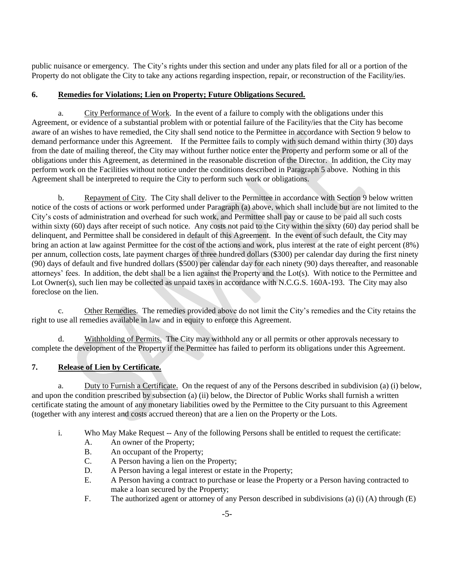public nuisance or emergency. The City's rights under this section and under any plats filed for all or a portion of the Property do not obligate the City to take any actions regarding inspection, repair, or reconstruction of the Facility/ies.

## **6. Remedies for Violations; Lien on Property; Future Obligations Secured.**

a. City Performance of Work. In the event of a failure to comply with the obligations under this Agreement, or evidence of a substantial problem with or potential failure of the Facility/ies that the City has become aware of an wishes to have remedied, the City shall send notice to the Permittee in accordance with Section 9 below to demand performance under this Agreement. If the Permittee fails to comply with such demand within thirty (30) days from the date of mailing thereof, the City may without further notice enter the Property and perform some or all of the obligations under this Agreement, as determined in the reasonable discretion of the Director. In addition, the City may perform work on the Facilities without notice under the conditions described in Paragraph 5 above. Nothing in this Agreement shall be interpreted to require the City to perform such work or obligations.

b. Repayment of City. The City shall deliver to the Permittee in accordance with Section 9 below written notice of the costs of actions or work performed under Paragraph (a) above, which shall include but are not limited to the City's costs of administration and overhead for such work, and Permittee shall pay or cause to be paid all such costs within sixty (60) days after receipt of such notice. Any costs not paid to the City within the sixty (60) day period shall be delinquent, and Permittee shall be considered in default of this Agreement. In the event of such default, the City may bring an action at law against Permittee for the cost of the actions and work, plus interest at the rate of eight percent (8%) per annum, collection costs, late payment charges of three hundred dollars (\$300) per calendar day during the first ninety (90) days of default and five hundred dollars (\$500) per calendar day for each ninety (90) days thereafter, and reasonable attorneys' fees. In addition, the debt shall be a lien against the Property and the Lot(s). With notice to the Permittee and Lot Owner(s), such lien may be collected as unpaid taxes in accordance with N.C.G.S. 160A-193. The City may also foreclose on the lien.

c. Other Remedies. The remedies provided above do not limit the City's remedies and the City retains the right to use all remedies available in law and in equity to enforce this Agreement.

d. Withholding of Permits. The City may withhold any or all permits or other approvals necessary to complete the development of the Property if the Permittee has failed to perform its obligations under this Agreement.

## **7. Release of Lien by Certificate.**

a. Duty to Furnish a Certificate. On the request of any of the Persons described in subdivision (a) (i) below, and upon the condition prescribed by subsection (a) (ii) below, the Director of Public Works shall furnish a written certificate stating the amount of any monetary liabilities owed by the Permittee to the City pursuant to this Agreement (together with any interest and costs accrued thereon) that are a lien on the Property or the Lots.

- i. Who May Make Request -- Any of the following Persons shall be entitled to request the certificate:
	- A. An owner of the Property;
	- B. An occupant of the Property;
	- C. A Person having a lien on the Property;
	- D. A Person having a legal interest or estate in the Property;
	- E. A Person having a contract to purchase or lease the Property or a Person having contracted to make a loan secured by the Property;
	- F. The authorized agent or attorney of any Person described in subdivisions (a) (i) (A) through (E)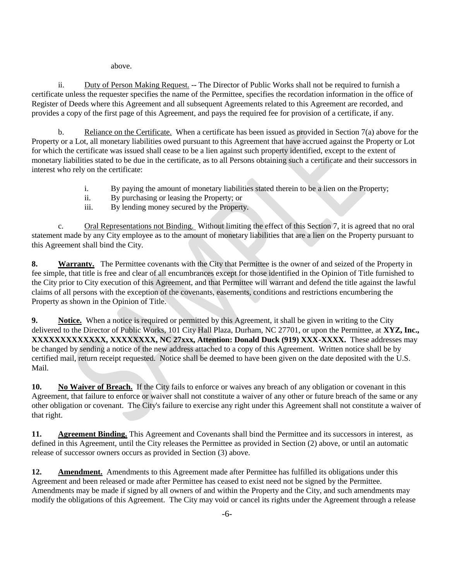above.

ii. Duty of Person Making Request. -- The Director of Public Works shall not be required to furnish a certificate unless the requester specifies the name of the Permittee, specifies the recordation information in the office of Register of Deeds where this Agreement and all subsequent Agreements related to this Agreement are recorded, and provides a copy of the first page of this Agreement, and pays the required fee for provision of a certificate, if any.

b. Reliance on the Certificate. When a certificate has been issued as provided in Section 7(a) above for the Property or a Lot, all monetary liabilities owed pursuant to this Agreement that have accrued against the Property or Lot for which the certificate was issued shall cease to be a lien against such property identified, except to the extent of monetary liabilities stated to be due in the certificate, as to all Persons obtaining such a certificate and their successors in interest who rely on the certificate:

- i. By paying the amount of monetary liabilities stated therein to be a lien on the Property;
- ii. By purchasing or leasing the Property; or
- iii. By lending money secured by the Property.

c. Oral Representations not Binding. Without limiting the effect of this Section 7, it is agreed that no oral statement made by any City employee as to the amount of monetary liabilities that are a lien on the Property pursuant to this Agreement shall bind the City.

**8. Warranty.** The Permittee covenants with the City that Permittee is the owner of and seized of the Property in fee simple, that title is free and clear of all encumbrances except for those identified in the Opinion of Title furnished to the City prior to City execution of this Agreement, and that Permittee will warrant and defend the title against the lawful claims of all persons with the exception of the covenants, easements, conditions and restrictions encumbering the Property as shown in the Opinion of Title.

**9. Notice.** When a notice is required or permitted by this Agreement, it shall be given in writing to the City delivered to the Director of Public Works, 101 City Hall Plaza, Durham, NC 27701, or upon the Permittee, at **XYZ, Inc., XXXXXXXXXXXXX, XXXXXXXX, NC 27xxx, Attention: Donald Duck (919) XXX-XXXX.** These addresses may be changed by sending a notice of the new address attached to a copy of this Agreement. Written notice shall be by certified mail, return receipt requested. Notice shall be deemed to have been given on the date deposited with the U.S. Mail.

**10. No Waiver of Breach.** If the City fails to enforce or waives any breach of any obligation or covenant in this Agreement, that failure to enforce or waiver shall not constitute a waiver of any other or future breach of the same or any other obligation or covenant. The City's failure to exercise any right under this Agreement shall not constitute a waiver of that right.

**11. Agreement Binding.** This Agreement and Covenants shall bind the Permittee and its successors in interest, as defined in this Agreement, until the City releases the Permittee as provided in Section (2) above, or until an automatic release of successor owners occurs as provided in Section (3) above.

**12. Amendment.** Amendments to this Agreement made after Permittee has fulfilled its obligations under this Agreement and been released or made after Permittee has ceased to exist need not be signed by the Permittee. Amendments may be made if signed by all owners of and within the Property and the City, and such amendments may modify the obligations of this Agreement. The City may void or cancel its rights under the Agreement through a release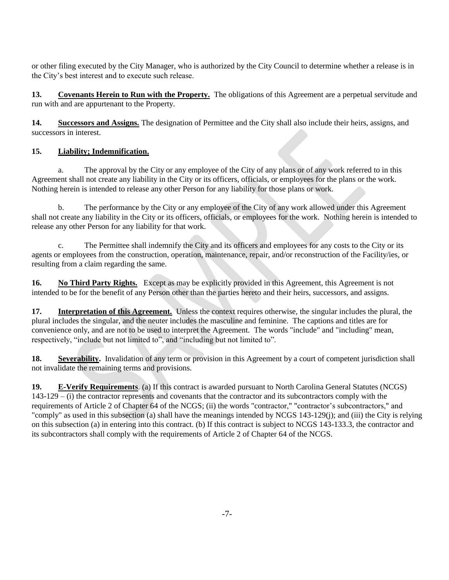or other filing executed by the City Manager, who is authorized by the City Council to determine whether a release is in the City's best interest and to execute such release.

**13. Covenants Herein to Run with the Property.** The obligations of this Agreement are a perpetual servitude and run with and are appurtenant to the Property.

**14. Successors and Assigns.** The designation of Permittee and the City shall also include their heirs, assigns, and successors in interest.

## **15. Liability; Indemnification.**

a. The approval by the City or any employee of the City of any plans or of any work referred to in this Agreement shall not create any liability in the City or its officers, officials, or employees for the plans or the work. Nothing herein is intended to release any other Person for any liability for those plans or work.

b. The performance by the City or any employee of the City of any work allowed under this Agreement shall not create any liability in the City or its officers, officials, or employees for the work. Nothing herein is intended to release any other Person for any liability for that work.

The Permittee shall indemnify the City and its officers and employees for any costs to the City or its agents or employees from the construction, operation, maintenance, repair, and/or reconstruction of the Facility/ies, or resulting from a claim regarding the same.

**16. No Third Party Rights.** Except as may be explicitly provided in this Agreement, this Agreement is not intended to be for the benefit of any Person other than the parties hereto and their heirs, successors, and assigns.

**17. Interpretation of this Agreement.** Unless the context requires otherwise, the singular includes the plural, the plural includes the singular, and the neuter includes the masculine and feminine. The captions and titles are for convenience only, and are not to be used to interpret the Agreement. The words "include" and "including" mean, respectively, "include but not limited to", and "including but not limited to".

**18. Severability.** Invalidation of any term or provision in this Agreement by a court of competent jurisdiction shall not invalidate the remaining terms and provisions.

**19. E-Verify Requirements**. (a) If this contract is awarded pursuant to North Carolina General Statutes (NCGS) 143-129 – (i) the contractor represents and covenants that the contractor and its subcontractors comply with the requirements of Article 2 of Chapter 64 of the NCGS; (ii) the words "contractor," "contractor's subcontractors," and "comply" as used in this subsection (a) shall have the meanings intended by NCGS 143-129(j); and (iii) the City is relying on this subsection (a) in entering into this contract. (b) If this contract is subject to NCGS 143-133.3, the contractor and its subcontractors shall comply with the requirements of Article 2 of Chapter 64 of the NCGS.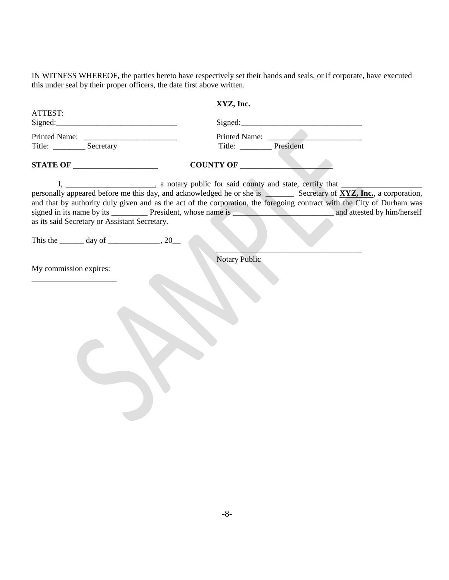IN WITNESS WHEREOF, the parties hereto have respectively set their hands and seals, or if corporate, have executed this under seal by their proper officers, the date first above written.

|                                                            | XYZ, Inc.                                                                                                              |
|------------------------------------------------------------|------------------------------------------------------------------------------------------------------------------------|
| ATTEST:                                                    |                                                                                                                        |
|                                                            |                                                                                                                        |
|                                                            | Printed Name:                                                                                                          |
|                                                            | Title: ___________ President                                                                                           |
| <b>STATE OF ______________________</b>                     | COUNTY OF                                                                                                              |
| as its said Secretary or Assistant Secretary.              | and that by authority duly given and as the act of the corporation, the foregoing contract with the City of Durham was |
| This the $\_\_\_\_$ day of $\_\_\_\_\_\_$ , 20 $\_\_\_\_\$ |                                                                                                                        |
| My commission expires:                                     |                                                                                                                        |